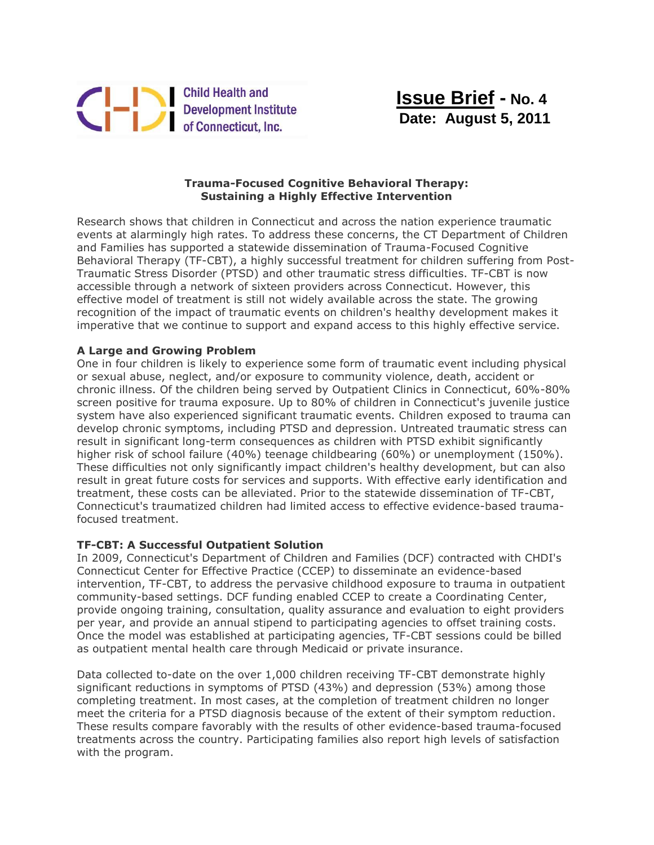

 **Issue Brief - No. 4 Date: August 5, 2011**

## **Trauma-Focused Cognitive Behavioral Therapy: Sustaining a Highly Effective Intervention**

Research shows that children in Connecticut and across the nation experience traumatic events at alarmingly high rates. To address these concerns, the CT Department of Children and Families has supported a statewide dissemination of Trauma-Focused Cognitive Behavioral Therapy (TF-CBT), a highly successful treatment for children suffering from Post-Traumatic Stress Disorder (PTSD) and other traumatic stress difficulties. TF-CBT is now accessible through a network of sixteen providers across Connecticut. However, this effective model of treatment is still not widely available across the state. The growing recognition of the impact of traumatic events on children's healthy development makes it imperative that we continue to support and expand access to this highly effective service.

## **A Large and Growing Problem**

One in four children is likely to experience some form of traumatic event including physical or sexual abuse, neglect, and/or exposure to community violence, death, accident or chronic illness. Of the children being served by Outpatient Clinics in Connecticut, 60%-80% screen positive for trauma exposure. Up to 80% of children in Connecticut's juvenile justice system have also experienced significant traumatic events. Children exposed to trauma can develop chronic symptoms, including PTSD and depression. Untreated traumatic stress can result in significant long-term consequences as children with PTSD exhibit significantly higher risk of school failure (40%) teenage childbearing (60%) or unemployment (150%). These difficulties not only significantly impact children's healthy development, but can also result in great future costs for services and supports. With effective early identification and treatment, these costs can be alleviated. Prior to the statewide dissemination of TF-CBT, Connecticut's traumatized children had limited access to effective evidence-based traumafocused treatment.

## **TF-CBT: A Successful Outpatient Solution**

In 2009, Connecticut's Department of Children and Families (DCF) contracted with CHDI's Connecticut Center for Effective Practice (CCEP) to disseminate an evidence-based intervention, TF-CBT, to address the pervasive childhood exposure to trauma in outpatient community-based settings. DCF funding enabled CCEP to create a Coordinating Center, provide ongoing training, consultation, quality assurance and evaluation to eight providers per year, and provide an annual stipend to participating agencies to offset training costs. Once the model was established at participating agencies, TF-CBT sessions could be billed as outpatient mental health care through Medicaid or private insurance.

Data collected to-date on the over 1,000 children receiving TF-CBT demonstrate highly significant reductions in symptoms of PTSD (43%) and depression (53%) among those completing treatment. In most cases, at the completion of treatment children no longer meet the criteria for a PTSD diagnosis because of the extent of their symptom reduction. These results compare favorably with the results of other evidence-based trauma-focused treatments across the country. Participating families also report high levels of satisfaction with the program.